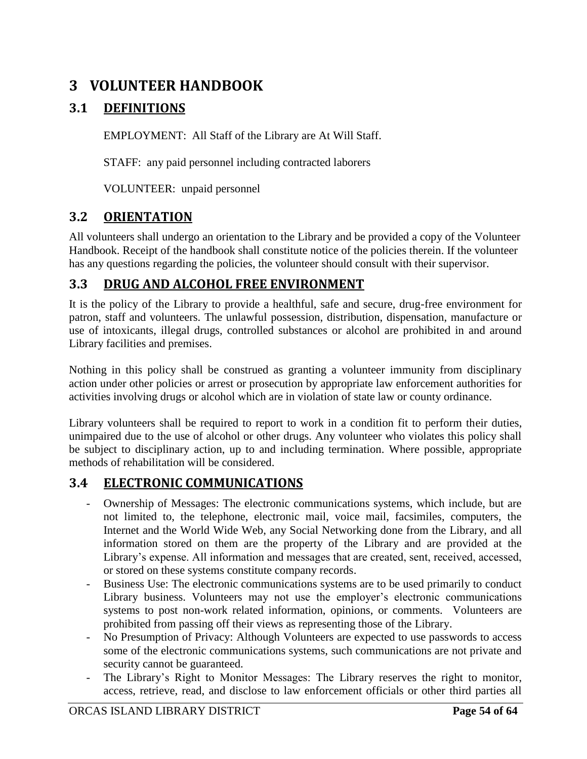# **3 VOLUNTEER HANDBOOK**

## **3.1 DEFINITIONS**

EMPLOYMENT: All Staff of the Library are At Will Staff.

STAFF: any paid personnel including contracted laborers

VOLUNTEER: unpaid personnel

## **3.2 ORIENTATION**

All volunteers shall undergo an orientation to the Library and be provided a copy of the Volunteer Handbook. Receipt of the handbook shall constitute notice of the policies therein. If the volunteer has any questions regarding the policies, the volunteer should consult with their supervisor.

## **3.3 DRUG AND ALCOHOL FREE ENVIRONMENT**

It is the policy of the Library to provide a healthful, safe and secure, drug-free environment for patron, staff and volunteers. The unlawful possession, distribution, dispensation, manufacture or use of intoxicants, illegal drugs, controlled substances or alcohol are prohibited in and around Library facilities and premises.

Nothing in this policy shall be construed as granting a volunteer immunity from disciplinary action under other policies or arrest or prosecution by appropriate law enforcement authorities for activities involving drugs or alcohol which are in violation of state law or county ordinance.

Library volunteers shall be required to report to work in a condition fit to perform their duties, unimpaired due to the use of alcohol or other drugs. Any volunteer who violates this policy shall be subject to disciplinary action, up to and including termination. Where possible, appropriate methods of rehabilitation will be considered.

## **3.4 ELECTRONIC COMMUNICATIONS**

- Ownership of Messages: The electronic communications systems, which include, but are not limited to, the telephone, electronic mail, voice mail, facsimiles, computers, the Internet and the World Wide Web, any Social Networking done from the Library, and all information stored on them are the property of the Library and are provided at the Library's expense. All information and messages that are created, sent, received, accessed, or stored on these systems constitute company records.
- Business Use: The electronic communications systems are to be used primarily to conduct Library business. Volunteers may not use the employer's electronic communications systems to post non-work related information, opinions, or comments. Volunteers are prohibited from passing off their views as representing those of the Library.
- No Presumption of Privacy: Although Volunteers are expected to use passwords to access some of the electronic communications systems, such communications are not private and security cannot be guaranteed.
- The Library's Right to Monitor Messages: The Library reserves the right to monitor, access, retrieve, read, and disclose to law enforcement officials or other third parties all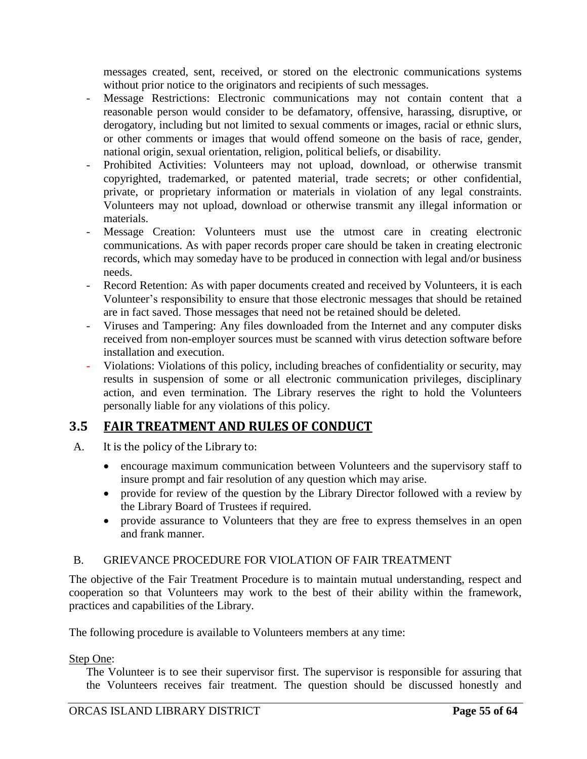messages created, sent, received, or stored on the electronic communications systems without prior notice to the originators and recipients of such messages.

- Message Restrictions: Electronic communications may not contain content that a reasonable person would consider to be defamatory, offensive, harassing, disruptive, or derogatory, including but not limited to sexual comments or images, racial or ethnic slurs, or other comments or images that would offend someone on the basis of race, gender, national origin, sexual orientation, religion, political beliefs, or disability.
- Prohibited Activities: Volunteers may not upload, download, or otherwise transmit copyrighted, trademarked, or patented material, trade secrets; or other confidential, private, or proprietary information or materials in violation of any legal constraints. Volunteers may not upload, download or otherwise transmit any illegal information or materials.
- Message Creation: Volunteers must use the utmost care in creating electronic communications. As with paper records proper care should be taken in creating electronic records, which may someday have to be produced in connection with legal and/or business needs.
- Record Retention: As with paper documents created and received by Volunteers, it is each Volunteer's responsibility to ensure that those electronic messages that should be retained are in fact saved. Those messages that need not be retained should be deleted.
- Viruses and Tampering: Any files downloaded from the Internet and any computer disks received from non-employer sources must be scanned with virus detection software before installation and execution.
- Violations: Violations of this policy, including breaches of confidentiality or security, may results in suspension of some or all electronic communication privileges, disciplinary action, and even termination. The Library reserves the right to hold the Volunteers personally liable for any violations of this policy.

## **3.5 FAIR TREATMENT AND RULES OF CONDUCT**

- A. It is the policy of the Library to:
	- encourage maximum communication between Volunteers and the supervisory staff to insure prompt and fair resolution of any question which may arise.
	- provide for review of the question by the Library Director followed with a review by the Library Board of Trustees if required.
	- provide assurance to Volunteers that they are free to express themselves in an open and frank manner.

## B. GRIEVANCE PROCEDURE FOR VIOLATION OF FAIR TREATMENT

The objective of the Fair Treatment Procedure is to maintain mutual understanding, respect and cooperation so that Volunteers may work to the best of their ability within the framework, practices and capabilities of the Library.

The following procedure is available to Volunteers members at any time:

### Step One:

The Volunteer is to see their supervisor first. The supervisor is responsible for assuring that the Volunteers receives fair treatment. The question should be discussed honestly and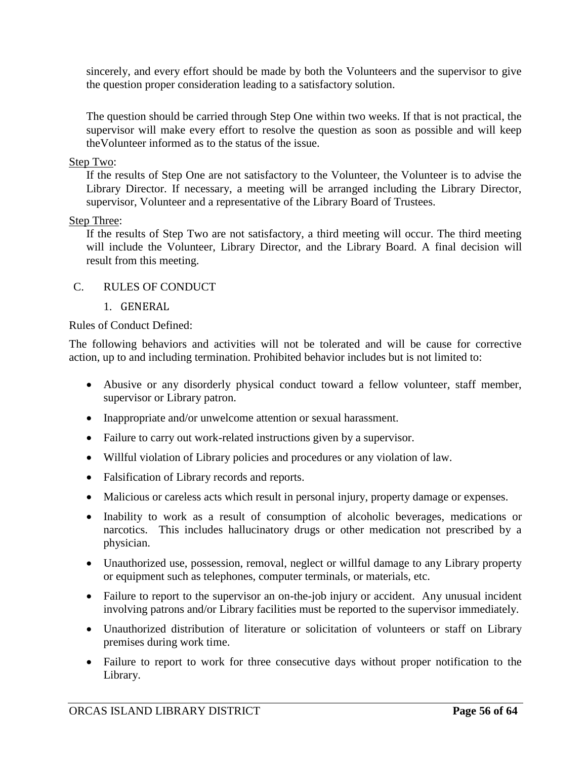sincerely, and every effort should be made by both the Volunteers and the supervisor to give the question proper consideration leading to a satisfactory solution.

The question should be carried through Step One within two weeks. If that is not practical, the supervisor will make every effort to resolve the question as soon as possible and will keep theVolunteer informed as to the status of the issue.

#### Step Two:

If the results of Step One are not satisfactory to the Volunteer, the Volunteer is to advise the Library Director. If necessary, a meeting will be arranged including the Library Director, supervisor, Volunteer and a representative of the Library Board of Trustees.

### Step Three:

If the results of Step Two are not satisfactory, a third meeting will occur. The third meeting will include the Volunteer, Library Director, and the Library Board. A final decision will result from this meeting.

### C. RULES OF CONDUCT

1. GENERAL

### Rules of Conduct Defined:

The following behaviors and activities will not be tolerated and will be cause for corrective action, up to and including termination. Prohibited behavior includes but is not limited to:

- Abusive or any disorderly physical conduct toward a fellow volunteer, staff member, supervisor or Library patron.
- Inappropriate and/or unwelcome attention or sexual harassment.
- Failure to carry out work-related instructions given by a supervisor.
- Willful violation of Library policies and procedures or any violation of law.
- Falsification of Library records and reports.
- Malicious or careless acts which result in personal injury, property damage or expenses.
- Inability to work as a result of consumption of alcoholic beverages, medications or narcotics. This includes hallucinatory drugs or other medication not prescribed by a physician.
- Unauthorized use, possession, removal, neglect or willful damage to any Library property or equipment such as telephones, computer terminals, or materials, etc.
- Failure to report to the supervisor an on-the-job injury or accident. Any unusual incident involving patrons and/or Library facilities must be reported to the supervisor immediately.
- Unauthorized distribution of literature or solicitation of volunteers or staff on Library premises during work time.
- Failure to report to work for three consecutive days without proper notification to the Library.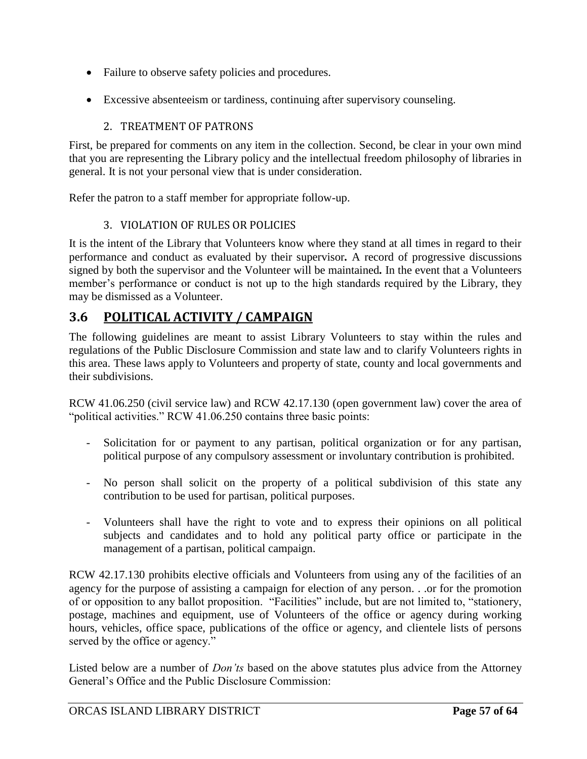- Failure to observe safety policies and procedures.
- Excessive absenteeism or tardiness, continuing after supervisory counseling.

## 2. TREATMENT OF PATRONS

First, be prepared for comments on any item in the collection. Second, be clear in your own mind that you are representing the Library policy and the intellectual freedom philosophy of libraries in general. It is not your personal view that is under consideration.

Refer the patron to a staff member for appropriate follow-up.

## 3. VIOLATION OF RULES OR POLICIES

It is the intent of the Library that Volunteers know where they stand at all times in regard to their performance and conduct as evaluated by their supervisor*.* A record of progressive discussions signed by both the supervisor and the Volunteer will be maintained*.* In the event that a Volunteers member's performance or conduct is not up to the high standards required by the Library, they may be dismissed as a Volunteer.

## **3.6 POLITICAL ACTIVITY / CAMPAIGN**

The following guidelines are meant to assist Library Volunteers to stay within the rules and regulations of the Public Disclosure Commission and state law and to clarify Volunteers rights in this area. These laws apply to Volunteers and property of state, county and local governments and their subdivisions.

RCW 41.06.250 (civil service law) and RCW 42.17.130 (open government law) cover the area of "political activities." RCW 41.06.250 contains three basic points:

- Solicitation for or payment to any partisan, political organization or for any partisan, political purpose of any compulsory assessment or involuntary contribution is prohibited.
- No person shall solicit on the property of a political subdivision of this state any contribution to be used for partisan, political purposes.
- Volunteers shall have the right to vote and to express their opinions on all political subjects and candidates and to hold any political party office or participate in the management of a partisan, political campaign.

RCW 42.17.130 prohibits elective officials and Volunteers from using any of the facilities of an agency for the purpose of assisting a campaign for election of any person. . .or for the promotion of or opposition to any ballot proposition. "Facilities" include, but are not limited to, "stationery, postage, machines and equipment, use of Volunteers of the office or agency during working hours, vehicles, office space, publications of the office or agency, and clientele lists of persons served by the office or agency."

Listed below are a number of *Don'ts* based on the above statutes plus advice from the Attorney General's Office and the Public Disclosure Commission: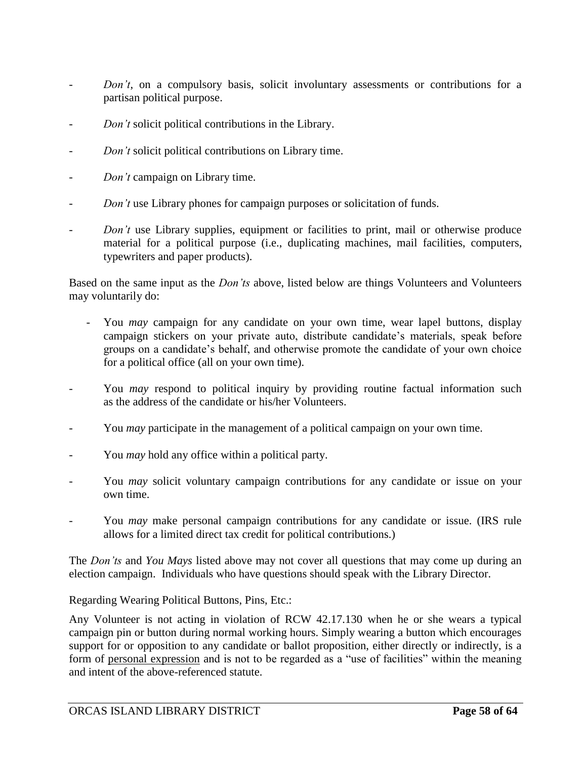- *Don't*, on a compulsory basis, solicit involuntary assessments or contributions for a partisan political purpose.
- *Don't* solicit political contributions in the Library.
- *Don't* solicit political contributions on Library time.
- *Don't* campaign on Library time.
- *Don't* use Library phones for campaign purposes or solicitation of funds.
- *Don't* use Library supplies, equipment or facilities to print, mail or otherwise produce material for a political purpose (i.e., duplicating machines, mail facilities, computers, typewriters and paper products).

Based on the same input as the *Don'ts* above, listed below are things Volunteers and Volunteers may voluntarily do:

- You *may* campaign for any candidate on your own time, wear lapel buttons, display campaign stickers on your private auto, distribute candidate's materials, speak before groups on a candidate's behalf, and otherwise promote the candidate of your own choice for a political office (all on your own time).
- You *may* respond to political inquiry by providing routine factual information such as the address of the candidate or his/her Volunteers.
- You *may* participate in the management of a political campaign on your own time.
- You *may* hold any office within a political party.
- You *may* solicit voluntary campaign contributions for any candidate or issue on your own time.
- You *may* make personal campaign contributions for any candidate or issue. (IRS rule allows for a limited direct tax credit for political contributions.)

The *Don'ts* and *You Mays* listed above may not cover all questions that may come up during an election campaign. Individuals who have questions should speak with the Library Director.

Regarding Wearing Political Buttons, Pins, Etc.:

Any Volunteer is not acting in violation of RCW 42.17.130 when he or she wears a typical campaign pin or button during normal working hours. Simply wearing a button which encourages support for or opposition to any candidate or ballot proposition, either directly or indirectly, is a form of personal expression and is not to be regarded as a "use of facilities" within the meaning and intent of the above-referenced statute.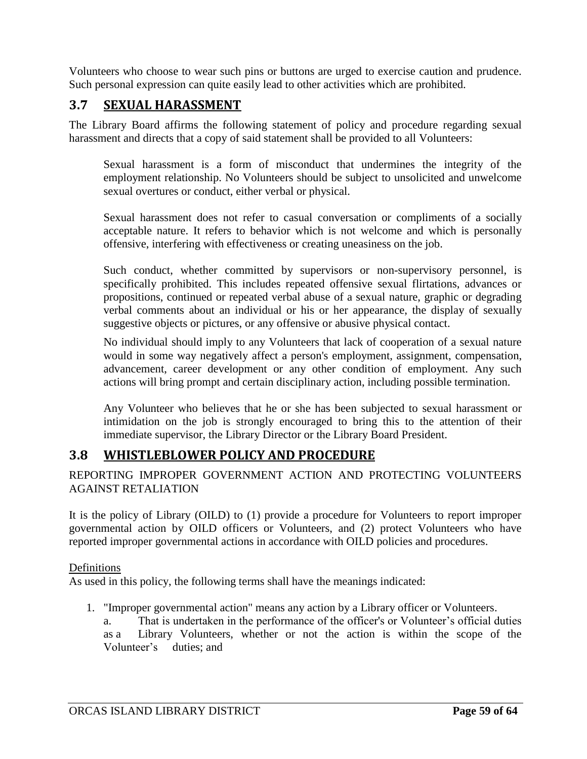Volunteers who choose to wear such pins or buttons are urged to exercise caution and prudence. Such personal expression can quite easily lead to other activities which are prohibited.

## **3.7 SEXUAL HARASSMENT**

The Library Board affirms the following statement of policy and procedure regarding sexual harassment and directs that a copy of said statement shall be provided to all Volunteers:

Sexual harassment is a form of misconduct that undermines the integrity of the employment relationship. No Volunteers should be subject to unsolicited and unwelcome sexual overtures or conduct, either verbal or physical.

Sexual harassment does not refer to casual conversation or compliments of a socially acceptable nature. It refers to behavior which is not welcome and which is personally offensive, interfering with effectiveness or creating uneasiness on the job.

Such conduct, whether committed by supervisors or non-supervisory personnel, is specifically prohibited. This includes repeated offensive sexual flirtations, advances or propositions, continued or repeated verbal abuse of a sexual nature, graphic or degrading verbal comments about an individual or his or her appearance, the display of sexually suggestive objects or pictures, or any offensive or abusive physical contact.

No individual should imply to any Volunteers that lack of cooperation of a sexual nature would in some way negatively affect a person's employment, assignment, compensation, advancement, career development or any other condition of employment. Any such actions will bring prompt and certain disciplinary action, including possible termination.

Any Volunteer who believes that he or she has been subjected to sexual harassment or intimidation on the job is strongly encouraged to bring this to the attention of their immediate supervisor, the Library Director or the Library Board President.

## **3.8 WHISTLEBLOWER POLICY AND PROCEDURE**

REPORTING IMPROPER GOVERNMENT ACTION AND PROTECTING VOLUNTEERS AGAINST RETALIATION

It is the policy of Library (OILD) to (1) provide a procedure for Volunteers to report improper governmental action by OILD officers or Volunteers, and (2) protect Volunteers who have reported improper governmental actions in accordance with OILD policies and procedures.

### Definitions

As used in this policy, the following terms shall have the meanings indicated:

- 1. "Improper governmental action" means any action by a Library officer or Volunteers.
	- a. That is undertaken in the performance of the officer's or Volunteer's official duties as a Library Volunteers, whether or not the action is within the scope of the Volunteer's duties; and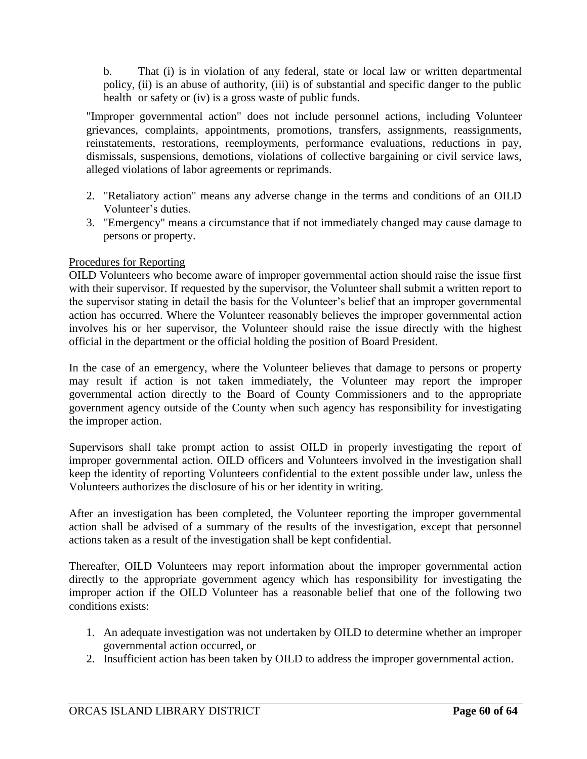b. That (i) is in violation of any federal, state or local law or written departmental policy, (ii) is an abuse of authority, (iii) is of substantial and specific danger to the public health or safety or (iv) is a gross waste of public funds.

"Improper governmental action" does not include personnel actions, including Volunteer grievances, complaints, appointments, promotions, transfers, assignments, reassignments, reinstatements, restorations, reemployments, performance evaluations, reductions in pay, dismissals, suspensions, demotions, violations of collective bargaining or civil service laws, alleged violations of labor agreements or reprimands.

- 2. "Retaliatory action" means any adverse change in the terms and conditions of an OILD Volunteer's duties.
- 3. "Emergency" means a circumstance that if not immediately changed may cause damage to persons or property.

### Procedures for Reporting

OILD Volunteers who become aware of improper governmental action should raise the issue first with their supervisor. If requested by the supervisor, the Volunteer shall submit a written report to the supervisor stating in detail the basis for the Volunteer's belief that an improper governmental action has occurred. Where the Volunteer reasonably believes the improper governmental action involves his or her supervisor, the Volunteer should raise the issue directly with the highest official in the department or the official holding the position of Board President.

In the case of an emergency, where the Volunteer believes that damage to persons or property may result if action is not taken immediately, the Volunteer may report the improper governmental action directly to the Board of County Commissioners and to the appropriate government agency outside of the County when such agency has responsibility for investigating the improper action.

Supervisors shall take prompt action to assist OILD in properly investigating the report of improper governmental action. OILD officers and Volunteers involved in the investigation shall keep the identity of reporting Volunteers confidential to the extent possible under law, unless the Volunteers authorizes the disclosure of his or her identity in writing.

After an investigation has been completed, the Volunteer reporting the improper governmental action shall be advised of a summary of the results of the investigation, except that personnel actions taken as a result of the investigation shall be kept confidential.

Thereafter, OILD Volunteers may report information about the improper governmental action directly to the appropriate government agency which has responsibility for investigating the improper action if the OILD Volunteer has a reasonable belief that one of the following two conditions exists:

- 1. An adequate investigation was not undertaken by OILD to determine whether an improper governmental action occurred, or
- 2. Insufficient action has been taken by OILD to address the improper governmental action.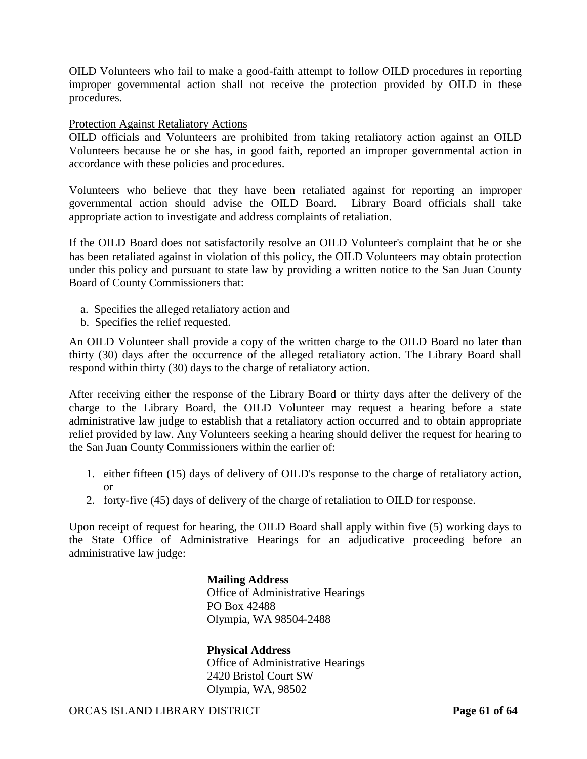OILD Volunteers who fail to make a good-faith attempt to follow OILD procedures in reporting improper governmental action shall not receive the protection provided by OILD in these procedures.

#### Protection Against Retaliatory Actions

OILD officials and Volunteers are prohibited from taking retaliatory action against an OILD Volunteers because he or she has, in good faith, reported an improper governmental action in accordance with these policies and procedures.

Volunteers who believe that they have been retaliated against for reporting an improper governmental action should advise the OILD Board. Library Board officials shall take appropriate action to investigate and address complaints of retaliation.

If the OILD Board does not satisfactorily resolve an OILD Volunteer's complaint that he or she has been retaliated against in violation of this policy, the OILD Volunteers may obtain protection under this policy and pursuant to state law by providing a written notice to the San Juan County Board of County Commissioners that:

- a. Specifies the alleged retaliatory action and
- b. Specifies the relief requested.

An OILD Volunteer shall provide a copy of the written charge to the OILD Board no later than thirty (30) days after the occurrence of the alleged retaliatory action. The Library Board shall respond within thirty (30) days to the charge of retaliatory action.

After receiving either the response of the Library Board or thirty days after the delivery of the charge to the Library Board, the OILD Volunteer may request a hearing before a state administrative law judge to establish that a retaliatory action occurred and to obtain appropriate relief provided by law. Any Volunteers seeking a hearing should deliver the request for hearing to the San Juan County Commissioners within the earlier of:

- 1. either fifteen (15) days of delivery of OILD's response to the charge of retaliatory action, or
- 2. forty-five (45) days of delivery of the charge of retaliation to OILD for response.

Upon receipt of request for hearing, the OILD Board shall apply within five (5) working days to the State Office of Administrative Hearings for an adjudicative proceeding before an administrative law judge:

> **Mailing Address** Office of Administrative Hearings PO Box 42488 Olympia, WA 98504-2488

> **Physical Address**  Office of Administrative Hearings 2420 Bristol Court SW Olympia, WA, 98502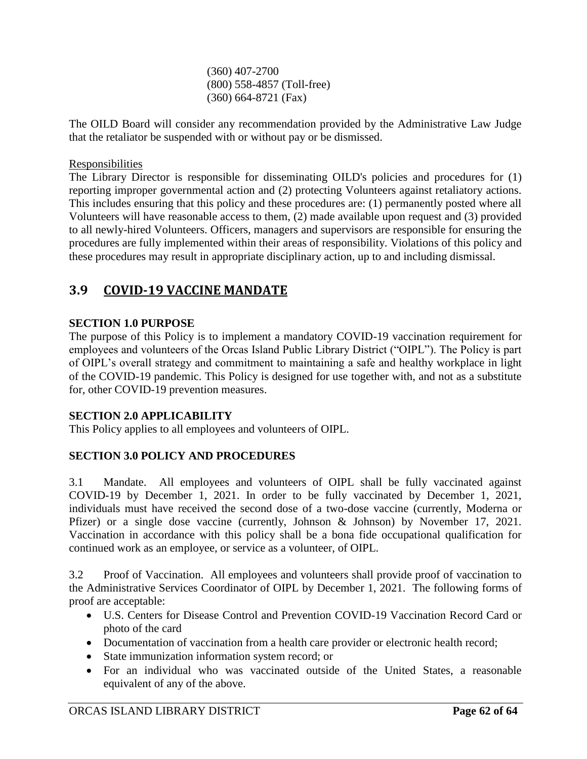(360) 407-2700 (800) 558-4857 (Toll-free) (360) 664-8721 (Fax)

The OILD Board will consider any recommendation provided by the Administrative Law Judge that the retaliator be suspended with or without pay or be dismissed.

### Responsibilities

The Library Director is responsible for disseminating OILD's policies and procedures for (1) reporting improper governmental action and (2) protecting Volunteers against retaliatory actions. This includes ensuring that this policy and these procedures are: (1) permanently posted where all Volunteers will have reasonable access to them, (2) made available upon request and (3) provided to all newly-hired Volunteers. Officers, managers and supervisors are responsible for ensuring the procedures are fully implemented within their areas of responsibility. Violations of this policy and these procedures may result in appropriate disciplinary action, up to and including dismissal.

## **3.9 COVID-19 VACCINE MANDATE**

### **SECTION 1.0 PURPOSE**

The purpose of this Policy is to implement a mandatory COVID-19 vaccination requirement for employees and volunteers of the Orcas Island Public Library District ("OIPL"). The Policy is part of OIPL's overall strategy and commitment to maintaining a safe and healthy workplace in light of the COVID-19 pandemic. This Policy is designed for use together with, and not as a substitute for, other COVID-19 prevention measures.

#### **SECTION 2.0 APPLICABILITY**

This Policy applies to all employees and volunteers of OIPL.

### **SECTION 3.0 POLICY AND PROCEDURES**

3.1 Mandate. All employees and volunteers of OIPL shall be fully vaccinated against COVID-19 by December 1, 2021. In order to be fully vaccinated by December 1, 2021, individuals must have received the second dose of a two-dose vaccine (currently, Moderna or Pfizer) or a single dose vaccine (currently, Johnson & Johnson) by November 17, 2021. Vaccination in accordance with this policy shall be a bona fide occupational qualification for continued work as an employee, or service as a volunteer, of OIPL.

3.2 Proof of Vaccination. All employees and volunteers shall provide proof of vaccination to the Administrative Services Coordinator of OIPL by December 1, 2021. The following forms of proof are acceptable:

- U.S. Centers for Disease Control and Prevention COVID-19 Vaccination Record Card or photo of the card
- Documentation of vaccination from a health care provider or electronic health record;
- State immunization information system record; or
- For an individual who was vaccinated outside of the United States, a reasonable equivalent of any of the above.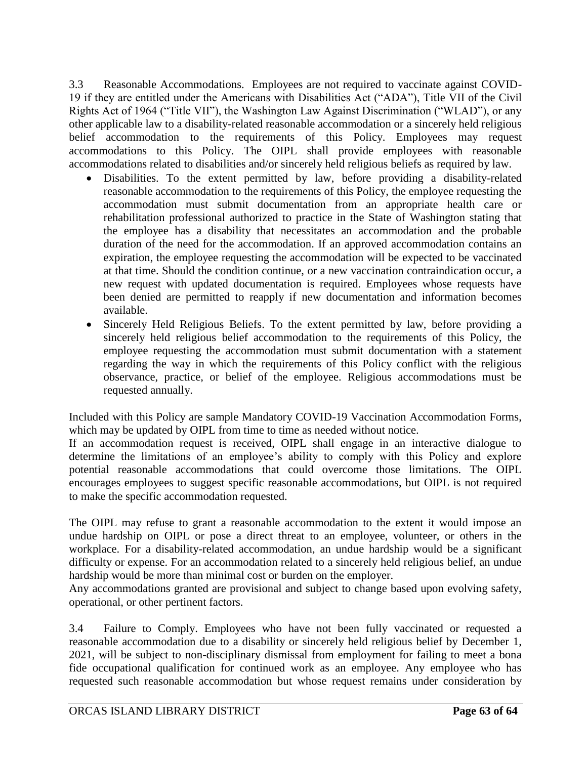3.3 Reasonable Accommodations. Employees are not required to vaccinate against COVID-19 if they are entitled under the Americans with Disabilities Act ("ADA"), Title VII of the Civil Rights Act of 1964 ("Title VII"), the Washington Law Against Discrimination ("WLAD"), or any other applicable law to a disability-related reasonable accommodation or a sincerely held religious belief accommodation to the requirements of this Policy. Employees may request accommodations to this Policy. The OIPL shall provide employees with reasonable accommodations related to disabilities and/or sincerely held religious beliefs as required by law.

- Disabilities. To the extent permitted by law, before providing a disability-related reasonable accommodation to the requirements of this Policy, the employee requesting the accommodation must submit documentation from an appropriate health care or rehabilitation professional authorized to practice in the State of Washington stating that the employee has a disability that necessitates an accommodation and the probable duration of the need for the accommodation. If an approved accommodation contains an expiration, the employee requesting the accommodation will be expected to be vaccinated at that time. Should the condition continue, or a new vaccination contraindication occur, a new request with updated documentation is required. Employees whose requests have been denied are permitted to reapply if new documentation and information becomes available.
- Sincerely Held Religious Beliefs. To the extent permitted by law, before providing a sincerely held religious belief accommodation to the requirements of this Policy, the employee requesting the accommodation must submit documentation with a statement regarding the way in which the requirements of this Policy conflict with the religious observance, practice, or belief of the employee. Religious accommodations must be requested annually.

Included with this Policy are sample Mandatory COVID-19 Vaccination Accommodation Forms, which may be updated by OIPL from time to time as needed without notice.

If an accommodation request is received, OIPL shall engage in an interactive dialogue to determine the limitations of an employee's ability to comply with this Policy and explore potential reasonable accommodations that could overcome those limitations. The OIPL encourages employees to suggest specific reasonable accommodations, but OIPL is not required to make the specific accommodation requested.

The OIPL may refuse to grant a reasonable accommodation to the extent it would impose an undue hardship on OIPL or pose a direct threat to an employee, volunteer, or others in the workplace. For a disability-related accommodation, an undue hardship would be a significant difficulty or expense. For an accommodation related to a sincerely held religious belief, an undue hardship would be more than minimal cost or burden on the employer.

Any accommodations granted are provisional and subject to change based upon evolving safety, operational, or other pertinent factors.

3.4 Failure to Comply. Employees who have not been fully vaccinated or requested a reasonable accommodation due to a disability or sincerely held religious belief by December 1, 2021, will be subject to non-disciplinary dismissal from employment for failing to meet a bona fide occupational qualification for continued work as an employee. Any employee who has requested such reasonable accommodation but whose request remains under consideration by